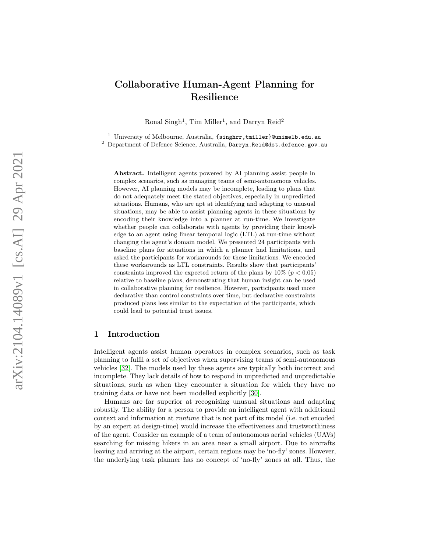# Collaborative Human-Agent Planning for Resilience

Ronal Singh<sup>1</sup>, Tim Miller<sup>1</sup>, and Darryn Reid<sup>2</sup>

<sup>1</sup> University of Melbourne, Australia,  $\{\texttt{singhrr}, \texttt{tmiller}\}$ Cunimelb.edu.au <sup>2</sup> Department of Defence Science, Australia, Darryn.Reid@dst.defence.gov.au

Abstract. Intelligent agents powered by AI planning assist people in complex scenarios, such as managing teams of semi-autonomous vehicles. However, AI planning models may be incomplete, leading to plans that do not adequately meet the stated objectives, especially in unpredicted situations. Humans, who are apt at identifying and adapting to unusual situations, may be able to assist planning agents in these situations by encoding their knowledge into a planner at run-time. We investigate whether people can collaborate with agents by providing their knowledge to an agent using linear temporal logic (LTL) at run-time without changing the agent's domain model. We presented 24 participants with baseline plans for situations in which a planner had limitations, and asked the participants for workarounds for these limitations. We encoded these workarounds as LTL constraints. Results show that participants' constraints improved the expected return of the plans by  $10\%$  ( $p < 0.05$ ) relative to baseline plans, demonstrating that human insight can be used in collaborative planning for resilience. However, participants used more declarative than control constraints over time, but declarative constraints produced plans less similar to the expectation of the participants, which could lead to potential trust issues.

# 1 Introduction

Intelligent agents assist human operators in complex scenarios, such as task planning to fulfil a set of objectives when supervising teams of semi-autonomous vehicles [\[32\]](#page-14-0). The models used by these agents are typically both incorrect and incomplete. They lack details of how to respond in unpredicted and unpredictable situations, such as when they encounter a situation for which they have no training data or have not been modelled explicitly [\[30\]](#page-14-1).

Humans are far superior at recognising unusual situations and adapting robustly. The ability for a person to provide an intelligent agent with additional context and information at runtime that is not part of its model (i.e. not encoded by an expert at design-time) would increase the effectiveness and trustworthiness of the agent. Consider an example of a team of autonomous aerial vehicles (UAVs) searching for missing hikers in an area near a small airport. Due to aircrafts leaving and arriving at the airport, certain regions may be 'no-fly' zones. However, the underlying task planner has no concept of 'no-fly' zones at all. Thus, the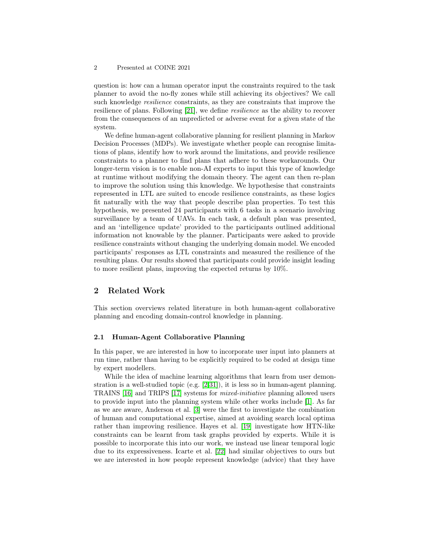question is: how can a human operator input the constraints required to the task planner to avoid the no-fly zones while still achieving its objectives? We call such knowledge resilience constraints, as they are constraints that improve the resilience of plans. Following [\[21\]](#page-14-2), we define resilience as the ability to recover from the consequences of an unpredicted or adverse event for a given state of the system.

We define human-agent collaborative planning for resilient planning in Markov Decision Processes (MDPs). We investigate whether people can recognise limitations of plans, identify how to work around the limitations, and provide resilience constraints to a planner to find plans that adhere to these workarounds. Our longer-term vision is to enable non-AI experts to input this type of knowledge at runtime without modifying the domain theory. The agent can then re-plan to improve the solution using this knowledge. We hypothesise that constraints represented in LTL are suited to encode resilience constraints, as these logics fit naturally with the way that people describe plan properties. To test this hypothesis, we presented 24 participants with 6 tasks in a scenario involving surveillance by a team of UAVs. In each task, a default plan was presented, and an 'intelligence update' provided to the participants outlined additional information not knowable by the planner. Participants were asked to provide resilience constraints without changing the underlying domain model. We encoded participants' responses as LTL constraints and measured the resilience of the resulting plans. Our results showed that participants could provide insight leading to more resilient plans, improving the expected returns by 10%.

## 2 Related Work

This section overviews related literature in both human-agent collaborative planning and encoding domain-control knowledge in planning.

## 2.1 Human-Agent Collaborative Planning

In this paper, we are interested in how to incorporate user input into planners at run time, rather than having to be explicitly required to be coded at design time by expert modellers.

While the idea of machine learning algorithms that learn from user demonstration is a well-studied topic (e.g. [\[2,](#page-13-0)[31\]](#page-14-3)), it is less so in human-agent planning. TRAINS [\[16\]](#page-13-1) and TRIPS [\[17\]](#page-13-2) systems for mixed-initiative planning allowed users to provide input into the planning system while other works include [\[1\]](#page-13-3). As far as we are aware, Anderson et al. [\[3\]](#page-13-4) were the first to investigate the combination of human and computational expertise, aimed at avoiding search local optima rather than improving resilience. Hayes et al. [\[19\]](#page-14-4) investigate how HTN-like constraints can be learnt from task graphs provided by experts. While it is possible to incorporate this into our work, we instead use linear temporal logic due to its expressiveness. Icarte et al. [\[22\]](#page-14-5) had similar objectives to ours but we are interested in how people represent knowledge (advice) that they have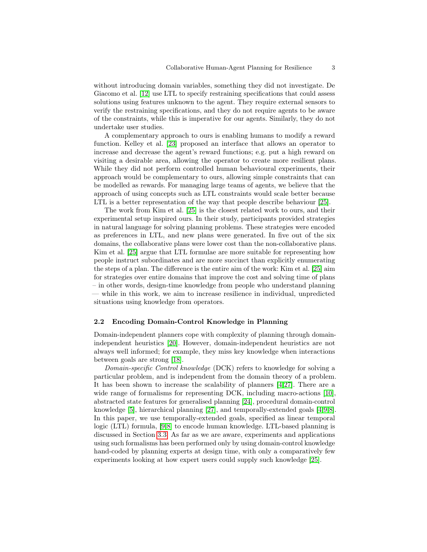without introducing domain variables, something they did not investigate. De Giacomo et al. [\[12\]](#page-13-5) use LTL to specify restraining specifications that could assess solutions using features unknown to the agent. They require external sensors to verify the restraining specifications, and they do not require agents to be aware of the constraints, while this is imperative for our agents. Similarly, they do not undertake user studies.

A complementary approach to ours is enabling humans to modify a reward function. Kelley et al. [\[23\]](#page-14-6) proposed an interface that allows an operator to increase and decrease the agent's reward functions; e.g. put a high reward on visiting a desirable area, allowing the operator to create more resilient plans. While they did not perform controlled human behavioural experiments, their approach would be complementary to ours, allowing simple constraints that can be modelled as rewards. For managing large teams of agents, we believe that the approach of using concepts such as LTL constraints would scale better because LTL is a better representation of the way that people describe behaviour [\[25\]](#page-14-7).

The work from Kim et al. [\[25\]](#page-14-7) is the closest related work to ours, and their experimental setup inspired ours. In their study, participants provided strategies in natural language for solving planning problems. These strategies were encoded as preferences in LTL, and new plans were generated. In five out of the six domains, the collaborative plans were lower cost than the non-collaborative plans. Kim et al. [\[25\]](#page-14-7) argue that LTL formulae are more suitable for representing how people instruct subordinates and are more succinct than explicitly enumerating the steps of a plan. The difference is the entire aim of the work: Kim et al. [\[25\]](#page-14-7) aim for strategies over entire domains that improve the cost and solving time of plans – in other words, design-time knowledge from people who understand planning — while in this work, we aim to increase resilience in individual, unpredicted situations using knowledge from operators.

#### 2.2 Encoding Domain-Control Knowledge in Planning

Domain-independent planners cope with complexity of planning through domainindependent heuristics [\[20\]](#page-14-8). However, domain-independent heuristics are not always well informed; for example, they miss key knowledge when interactions between goals are strong [\[18\]](#page-13-6).

Domain-specific Control knowledge (DCK) refers to knowledge for solving a particular problem, and is independent from the domain theory of a problem. It has been shown to increase the scalability of planners [\[4,](#page-13-7)[27\]](#page-14-9). There are a wide range of formalisms for representing DCK, including macro-actions [\[10\]](#page-13-8), abstracted state features for generalised planning [\[24\]](#page-14-10), procedural domain-control knowledge [\[5\]](#page-13-9), hierarchical planning [\[27\]](#page-14-9), and temporally-extended goals [\[4](#page-13-7)[,9](#page-13-10)[,8\]](#page-13-11). In this paper, we use temporally-extended goals, specified as linear temporal logic (LTL) formula, [\[9](#page-13-10)[,8\]](#page-13-11) to encode human knowledge. LTL-based planning is discussed in Section [3.3.](#page-4-0) As far as we are aware, experiments and applications using such formalisms has been performed only by using domain-control knowledge hand-coded by planning experts at design time, with only a comparatively few experiments looking at how expert users could supply such knowledge [\[25\]](#page-14-7).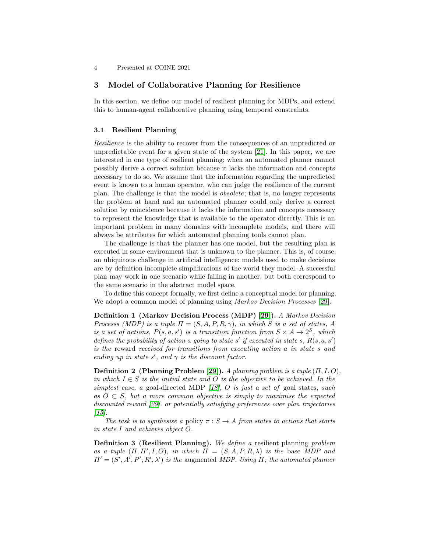## 3 Model of Collaborative Planning for Resilience

In this section, we define our model of resilient planning for MDPs, and extend this to human-agent collaborative planning using temporal constraints.

#### 3.1 Resilient Planning

Resilience is the ability to recover from the consequences of an unpredicted or unpredictable event for a given state of the system [\[21\]](#page-14-2). In this paper, we are interested in one type of resilient planning: when an automated planner cannot possibly derive a correct solution because it lacks the information and concepts necessary to do so. We assume that the information regarding the unpredicted event is known to a human operator, who can judge the resilience of the current plan. The challenge is that the model is obsolete; that is, no longer represents the problem at hand and an automated planner could only derive a correct solution by coincidence because it lacks the information and concepts necessary to represent the knowledge that is available to the operator directly. This is an important problem in many domains with incomplete models, and there will always be attributes for which automated planning tools cannot plan.

The challenge is that the planner has one model, but the resulting plan is executed in some environment that is unknown to the planner. This is, of course, an ubiquitous challenge in artificial intelligence: models used to make decisions are by definition incomplete simplifications of the world they model. A successful plan may work in one scenario while failing in another, but both correspond to the same scenario in the abstract model space.

To define this concept formally, we first define a conceptual model for planning. We adopt a common model of planning using *Markov Decision Processes* [\[29\]](#page-14-11).

Definition 1 (Markov Decision Process (MDP) [\[29\]](#page-14-11)). A Markov Decision Processs (MDP) is a tuple  $\Pi = (S, A, P, R, \gamma)$ , in which S is a set of states, A is a set of actions,  $P(s, a, s')$  is a transition function from  $S \times A \rightarrow 2^S$ , which defines the probability of action a going to state s' if executed in state s,  $R(s, a, s')$ is the reward received for transitions from executing action a in state s and ending up in state s', and  $\gamma$  is the discount factor.

**Definition 2** (Planning Problem [\[29\]](#page-14-11)). A planning problem is a tuple  $(\Pi, I, O)$ , in which  $I \in S$  is the initial state and O is the objective to be achieved. In the simplest case, a goal-directed MDP [\[18\]](#page-13-6), O is just a set of goal states, such as  $O \subset S$ , but a more common objective is simply to maximise the expected discounted reward [\[29\]](#page-14-11). or potentially satisfying preferences over plan trajectories  $[15]$ .

The task is to synthesise a policy  $\pi : S \to A$  from states to actions that starts in state I and achieves object O.

Definition 3 (Resilient Planning). We define a resilient planning problem as a tuple  $(\Pi, \Pi', I, O)$ , in which  $\Pi = (S, A, P, R, \lambda)$  is the base MDP and  $\Pi' = (S', A', P', R', \lambda')$  is the augmented MDP. Using  $\Pi$ , the automated planner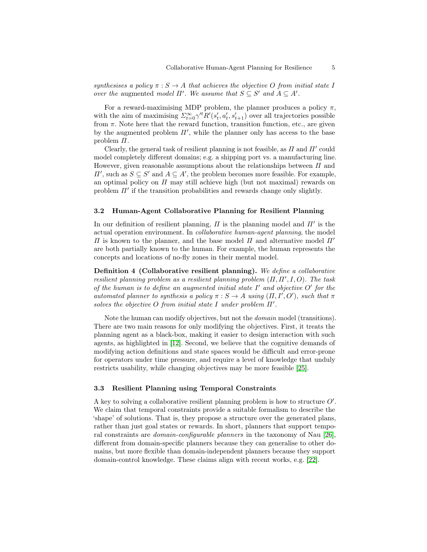synthesises a policy  $\pi : S \to A$  that achieves the objective O from initial state I over the augmented model  $\Pi'$ . We assume that  $S \subseteq S'$  and  $A \subseteq A'$ .

For a reward-maximising MDP problem, the planner produces a policy  $\pi$ , with the aim of maximising  $\sum_{t=0}^{\infty} \gamma^{t} R'(s'_t, a'_t, s'_{t+1})$  over all trajectories possible from  $\pi$ . Note here that the reward function, transition function, etc., are given by the augmented problem  $\Pi'$ , while the planner only has access to the base problem Π.

Clearly, the general task of resilient planning is not feasible, as  $\Pi$  and  $\Pi'$  could model completely different domains; e.g. a shipping port vs. a manufacturing line. However, given reasonable assumptions about the relationships between  $\Pi$  and  $\Pi'$ , such as  $S \subseteq S'$  and  $A \subseteq A'$ , the problem becomes more feasible. For example, an optimal policy on  $\Pi$  may still achieve high (but not maximal) rewards on problem  $\Pi'$  if the transition probabilities and rewards change only slightly.

## 3.2 Human-Agent Collaborative Planning for Resilient Planning

In our definition of resilient planning,  $\Pi$  is the planning model and  $\Pi'$  is the actual operation environment. In collaborative human-agent planning, the model  $\Pi$  is known to the planner, and the base model  $\Pi$  and alternative model  $\Pi'$ are both partially known to the human. For example, the human represents the concepts and locations of no-fly zones in their mental model.

<span id="page-4-1"></span>Definition 4 (Collaborative resilient planning). We define a collaborative resilient planning problem as a resilient planning problem  $(\Pi, \Pi', I, O)$ . The task of the human is to define an augmented initial state  $I'$  and objective  $O'$  for the automated planner to synthesis a policy  $\pi : S \to A$  using  $(\Pi, I', O')$ , such that  $\pi$ solves the objective  $O$  from initial state  $I$  under problem  $\Pi'$ .

Note the human can modify objectives, but not the domain model (transitions). There are two main reasons for only modifying the objectives. First, it treats the planning agent as a black-box, making it easier to design interaction with such agents, as highlighted in [\[12\]](#page-13-5). Second, we believe that the cognitive demands of modifying action definitions and state spaces would be difficult and error-prone for operators under time pressure, and require a level of knowledge that unduly restricts usability, while changing objectives may be more feasible [\[25\]](#page-14-7).

#### <span id="page-4-0"></span>3.3 Resilient Planning using Temporal Constraints

A key to solving a collaborative resilient planning problem is how to structure  $O'$ . We claim that temporal constraints provide a suitable formalism to describe the 'shape' of solutions. That is, they propose a structure over the generated plans, rather than just goal states or rewards. In short, planners that support temporal constraints are domain-configurable planners in the taxonomy of Nau [\[26\]](#page-14-12), different from domain-specific planners because they can generalise to other domains, but more flexible than domain-independent planners because they support domain-control knowledge. These claims align with recent works, e.g. [\[22\]](#page-14-5).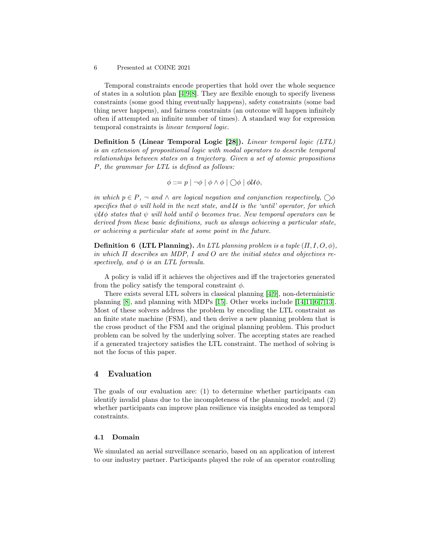Temporal constraints encode properties that hold over the whole sequence of states in a solution plan  $[4,9,8]$  $[4,9,8]$  $[4,9,8]$ . They are flexible enough to specify liveness constraints (some good thing eventually happens), safety constraints (some bad thing never happens), and fairness constraints (an outcome will happen infinitely often if attempted an infinite number of times). A standard way for expression temporal constraints is linear temporal logic.

Definition 5 (Linear Temporal Logic [\[28\]](#page-14-13)). Linear temporal logic (LTL) is an extension of propositional logic with modal operators to describe temporal relationships between states on a trajectory. Given a set of atomic propositions P, the grammar for LTL is defined as follows:

$$
\phi ::= p \mid \neg \phi \mid \phi \land \phi \mid \bigcirc \phi \mid \phi \mathcal{U} \phi,
$$

in which  $p \in P$ ,  $\neg$  and  $\wedge$  are logical negation and conjunction respectively,  $\bigcirc \phi$ specifies that  $\phi$  will hold in the next state, and U is the 'until' operator, for which  $\psi\mathcal{U}\phi$  states that  $\psi$  will hold until  $\phi$  becomes true. New temporal operators can be derived from these basic definitions, such as always achieving a particular state, or achieving a particular state at some point in the future.

**Definition 6 (LTL Planning).** An LTL planning problem is a tuple  $(\Pi, I, O, \phi)$ , in which  $\Pi$  describes an MDP, I and O are the initial states and objectives respectively, and  $\phi$  is an LTL formula.

A policy is valid iff it achieves the objectives and iff the trajectories generated from the policy satisfy the temporal constraint  $\phi$ .

There exists several LTL solvers in classical planning [\[4,](#page-13-7)[9\]](#page-13-10), non-deterministic planning [\[8\]](#page-13-11), and planning with MDPs [\[15\]](#page-13-12). Other works include [\[14,](#page-13-13)[11,](#page-13-14)[6](#page-13-15)[,7](#page-13-16)[,13\]](#page-13-17). Most of these solvers address the problem by encoding the LTL constraint as an finite state machine (FSM), and then derive a new planning problem that is the cross product of the FSM and the original planning problem. This product problem can be solved by the underlying solver. The accepting states are reached if a generated trajectory satisfies the LTL constraint. The method of solving is not the focus of this paper.

## 4 Evaluation

The goals of our evaluation are: (1) to determine whether participants can identify invalid plans due to the incompleteness of the planning model; and (2) whether participants can improve plan resilience via insights encoded as temporal constraints.

## 4.1 Domain

We simulated an aerial surveillance scenario, based on an application of interest to our industry partner. Participants played the role of an operator controlling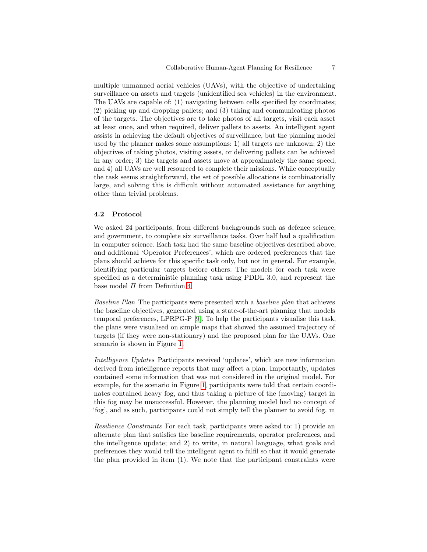multiple unmanned aerial vehicles (UAVs), with the objective of undertaking surveillance on assets and targets (unidentified sea vehicles) in the environment. The UAVs are capable of: (1) navigating between cells specified by coordinates; (2) picking up and dropping pallets; and (3) taking and communicating photos of the targets. The objectives are to take photos of all targets, visit each asset at least once, and when required, deliver pallets to assets. An intelligent agent assists in achieving the default objectives of surveillance, but the planning model used by the planner makes some assumptions: 1) all targets are unknown; 2) the objectives of taking photos, visiting assets, or delivering pallets can be achieved in any order; 3) the targets and assets move at approximately the same speed; and 4) all UAVs are well resourced to complete their missions. While conceptually the task seems straightforward, the set of possible allocations is combinatorially large, and solving this is difficult without automated assistance for anything other than trivial problems.

## 4.2 Protocol

We asked 24 participants, from different backgrounds such as defence science, and government, to complete six surveillance tasks. Over half had a qualification in computer science. Each task had the same baseline objectives described above, and additional 'Operator Preferences', which are ordered preferences that the plans should achieve for this specific task only, but not in general. For example, identifying particular targets before others. The models for each task were specified as a deterministic planning task using PDDL 3.0, and represent the base model  $\Pi$  from Definition [4.](#page-4-1)

Baseline Plan The participants were presented with a baseline plan that achieves the baseline objectives, generated using a state-of-the-art planning that models temporal preferences, LPRPG-P [\[9\]](#page-13-10). To help the participants visualise this task, the plans were visualised on simple maps that showed the assumed trajectory of targets (if they were non-stationary) and the proposed plan for the UAVs. One scenario is shown in Figure [1.](#page-7-0)

Intelligence Updates Participants received 'updates', which are new information derived from intelligence reports that may affect a plan. Importantly, updates contained some information that was not considered in the original model. For example, for the scenario in Figure [1,](#page-7-0) participants were told that certain coordinates contained heavy fog, and thus taking a picture of the (moving) target in this fog may be unsuccessful. However, the planning model had no concept of 'fog', and as such, participants could not simply tell the planner to avoid fog. m

Resilience Constraints For each task, participants were asked to: 1) provide an alternate plan that satisfies the baseline requirements, operator preferences, and the intelligence update; and 2) to write, in natural language, what goals and preferences they would tell the intelligent agent to fulfil so that it would generate the plan provided in item (1). We note that the participant constraints were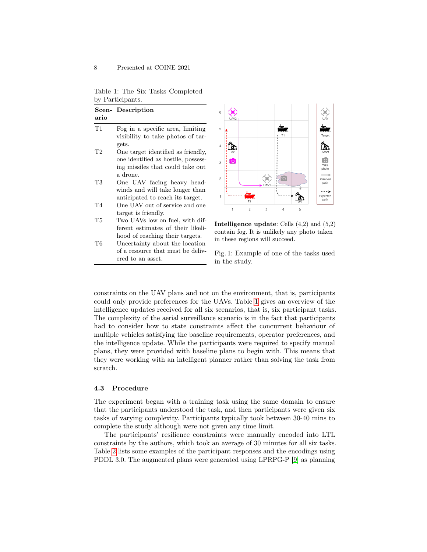<span id="page-7-0"></span>Table 1: The Six Tasks Completed by Participants.

|      | Scen-Description                    |  |  |
|------|-------------------------------------|--|--|
| ario |                                     |  |  |
| T1   | Fog in a specific area, limiting    |  |  |
|      | visibility to take photos of tar-   |  |  |
|      | gets.                               |  |  |
| T2   | One target identified as friendly,  |  |  |
|      | one identified as hostile, possess- |  |  |
|      | ing missiles that could take out    |  |  |
|      | a drone.                            |  |  |
| T3   | One UAV facing heavy head-          |  |  |
|      | winds and will take longer than     |  |  |
|      | anticipated to reach its target.    |  |  |
| T4   | One UAV out of service and one      |  |  |
|      | target is friendly.                 |  |  |
| Т5   | Two UAVs low on fuel, with dif-     |  |  |
|      | ferent estimates of their likeli-   |  |  |
|      | hood of reaching their targets.     |  |  |
| Т6   | Uncertainty about the location      |  |  |
|      | of a resource that must be deliv-   |  |  |
|      | ered to an asset.                   |  |  |



Intelligence update: Cells (4,2) and (5,2) contain fog. It is unlikely any photo taken in these regions will succeed.

Fig. 1: Example of one of the tasks used in the study.

constraints on the UAV plans and not on the environment, that is, participants could only provide preferences for the UAVs. Table [1](#page-7-0) gives an overview of the intelligence updates received for all six scenarios, that is, six participant tasks. The complexity of the aerial surveillance scenario is in the fact that participants had to consider how to state constraints affect the concurrent behaviour of multiple vehicles satisfying the baseline requirements, operator preferences, and the intelligence update. While the participants were required to specify manual plans, they were provided with baseline plans to begin with. This means that they were working with an intelligent planner rather than solving the task from scratch.

#### 4.3 Procedure

The experiment began with a training task using the same domain to ensure that the participants understood the task, and then participants were given six tasks of varying complexity. Participants typically took between 30-40 mins to complete the study although were not given any time limit.

The participants' resilience constraints were manually encoded into LTL constraints by the authors, which took an average of 30 minutes for all six tasks. Table [2](#page-8-0) lists some examples of the participant responses and the encodings using PDDL 3.0. The augmented plans were generated using LPRPG-P [\[9\]](#page-13-10) as planning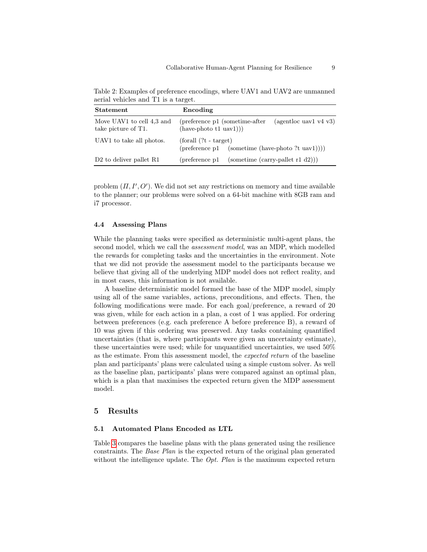<span id="page-8-0"></span>Table 2: Examples of preference encodings, where UAV1 and UAV2 are unmanned aerial vehicles and T1 is a target.

| <b>Statement</b>                                 | Encoding                                                                              |  |                                    |
|--------------------------------------------------|---------------------------------------------------------------------------------------|--|------------------------------------|
| Move UAV1 to cell 4,3 and<br>take picture of T1. | (preference p1 (sometime-after)<br>$(agentloc$ uav1 v4 v3)<br>$(have-photo t1 uav1))$ |  |                                    |
| UAV1 to take all photos.                         | $\frac{1}{2}$ (for all $(?t - target)$ )<br>(preference p1)                           |  | $(sometric (have-photo ?t uav1)))$ |
| D <sub>2</sub> to deliver pallet R <sub>1</sub>  | (preference p1)                                                                       |  | $(sometric (carry-pallet r1 d2)))$ |

problem  $(\Pi, I', O')$ . We did not set any restrictions on memory and time available to the planner; our problems were solved on a 64-bit machine with 8GB ram and i7 processor.

#### 4.4 Assessing Plans

While the planning tasks were specified as deterministic multi-agent plans, the second model, which we call the assessment model, was an MDP, which modelled the rewards for completing tasks and the uncertainties in the environment. Note that we did not provide the assessment model to the participants because we believe that giving all of the underlying MDP model does not reflect reality, and in most cases, this information is not available.

A baseline deterministic model formed the base of the MDP model, simply using all of the same variables, actions, preconditions, and effects. Then, the following modifications were made. For each goal/preference, a reward of 20 was given, while for each action in a plan, a cost of 1 was applied. For ordering between preferences (e.g. each preference A before preference B), a reward of 10 was given if this ordering was preserved. Any tasks containing quantified uncertainties (that is, where participants were given an uncertainty estimate), these uncertainties were used; while for unquantified uncertainties, we used 50% as the estimate. From this assessment model, the expected return of the baseline plan and participants' plans were calculated using a simple custom solver. As well as the baseline plan, participants' plans were compared against an optimal plan, which is a plan that maximises the expected return given the MDP assessment model.

### 5 Results

## 5.1 Automated Plans Encoded as LTL

Table [3](#page-9-0) compares the baseline plans with the plans generated using the resilience constraints. The Base Plan is the expected return of the original plan generated without the intelligence update. The  $Opt.$  Plan is the maximum expected return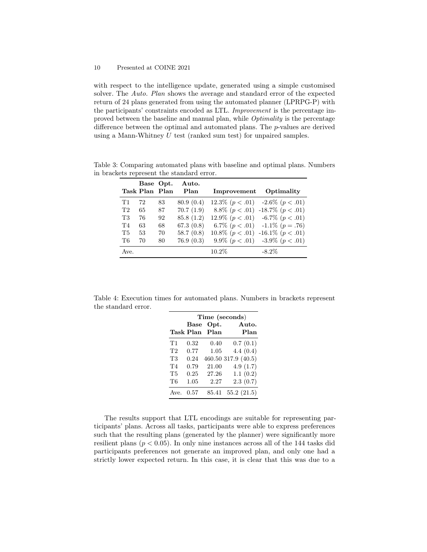with respect to the intelligence update, generated using a simple customised solver. The Auto. Plan shows the average and standard error of the expected return of 24 plans generated from using the automated planner (LPRPG-P) with the participants' constraints encoded as LTL. Improvement is the percentage improved between the baseline and manual plan, while Optimality is the percentage difference between the optimal and automated plans. The p-values are derived using a Mann-Whitney  $U$  test (ranked sum test) for unpaired samples.

<span id="page-9-0"></span>Table 3: Comparing automated plans with baseline and optimal plans. Numbers in brackets represent the standard error.

|                | Task Plan Plan | Base Opt. | Auto.<br>Plan | Improvement                             | Optimality                            |
|----------------|----------------|-----------|---------------|-----------------------------------------|---------------------------------------|
| T1             | 72             | 83        | 80.9(0.4)     | $12.3\%$ $(p < .01)$ -2.6\% $(p < .01)$ |                                       |
| T <sub>2</sub> | 65             | 87        | 70.7(1.9)     |                                         | 8.8\% $(p < .01)$ -18.7\% $(p < .01)$ |
| T3             | 76             | 92        | 85.8(1.2)     | 12.9\% $(p < .01)$ -6.7\% $(p < .01)$   |                                       |
| T <sub>4</sub> | 63             | 68        | 67.3 $(0.8)$  |                                         | 6.7\% $(p < .01)$ -1.1\% $(p = .76)$  |
| <b>T5</b>      | 53             | 70        | 58.7 $(0.8)$  | 10.8\% $(p < .01)$ -16.1\% $(p < .01)$  |                                       |
| Т6             | 70             | 80        | 76.9(0.3)     |                                         | 9.9% $(p < .01)$ -3.9% $(p < .01)$    |
| Ave.           |                |           |               | $10.2\%$                                | $-8.2\%$                              |

<span id="page-9-1"></span>Table 4: Execution times for automated plans. Numbers in brackets represent the standard error.

|                | Time (seconds) |       |                     |  |
|----------------|----------------|-------|---------------------|--|
|                | <b>Base</b>    | Opt.  | Auto.               |  |
|                | Task Plan      | Plan  | Plan                |  |
| T1             | 0.32           | 0.40  | 0.7(0.1)            |  |
| T <sub>2</sub> | 0.77           | 1.05  | 4.4(0.4)            |  |
| <b>T3</b>      | 0.24           |       | 460.50 317.9 (40.5) |  |
| T <sub>4</sub> | 0.79           | 21.00 | 4.9(1.7)            |  |
| <b>T5</b>      | 0.25           | 27.26 | 1.1(0.2)            |  |
| T6             | 1.05           | 2.27  | 2.3(0.7)            |  |
| Ave.           | 0.57           | 85.41 | 55.2(21.5)          |  |

The results support that LTL encodings are suitable for representing participants' plans. Across all tasks, participants were able to express preferences such that the resulting plans (generated by the planner) were significantly more resilient plans ( $p < 0.05$ ). In only nine instances across all of the 144 tasks did participants preferences not generate an improved plan, and only one had a strictly lower expected return. In this case, it is clear that this was due to a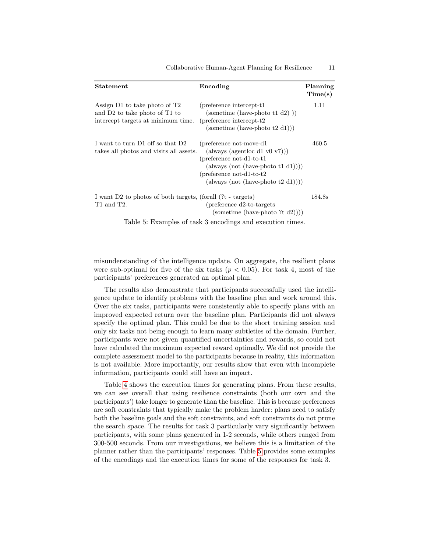<span id="page-10-0"></span>

| Statement                                                                                            | Encoding                                                                                                                                                                                                                          | Planning<br>Time(s) |
|------------------------------------------------------------------------------------------------------|-----------------------------------------------------------------------------------------------------------------------------------------------------------------------------------------------------------------------------------|---------------------|
| Assign D1 to take photo of T2<br>and D2 to take photo of T1 to<br>intercept targets at minimum time. | (preference intercept-t1)<br>(sometime (have-photo t1 d2))<br>(preference intercept-t2)<br>(sometime (have-photo $t2 d1$ ))                                                                                                       | 1.11                |
| I want to turn D1 off so that D2<br>takes all photos and visits all assets.                          | (preference not-move-d1)<br>(always (agentloc d1 v0 v7)))<br>$(preference not-d1-to-t1)$<br>$(\text{always} \ (\text{not} \ (\text{have-photo} \ t1 \ d1))))$<br>(preference not-d1-to-t2)<br>$(always (not (have-photo t2 d1)))$ | 460.5               |
| I want D2 to photos of both targets, (forall (?t - targets)<br>T1 and T2.                            | (preference d2-to-targets)<br>(sometime (have-photo ?t $d2$ )))                                                                                                                                                                   | 184.8s              |

Collaborative Human-Agent Planning for Resilience 11

Table 5: Examples of task 3 encodings and execution times.

misunderstanding of the intelligence update. On aggregate, the resilient plans were sub-optimal for five of the six tasks  $(p < 0.05)$ . For task 4, most of the participants' preferences generated an optimal plan.

The results also demonstrate that participants successfully used the intelligence update to identify problems with the baseline plan and work around this. Over the six tasks, participants were consistently able to specify plans with an improved expected return over the baseline plan. Participants did not always specify the optimal plan. This could be due to the short training session and only six tasks not being enough to learn many subtleties of the domain. Further, participants were not given quantified uncertainties and rewards, so could not have calculated the maximum expected reward optimally. We did not provide the complete assessment model to the participants because in reality, this information is not available. More importantly, our results show that even with incomplete information, participants could still have an impact.

Table [4](#page-9-1) shows the execution times for generating plans. From these results, we can see overall that using resilience constraints (both our own and the participants') take longer to generate than the baseline. This is because preferences are soft constraints that typically make the problem harder: plans need to satisfy both the baseline goals and the soft constraints, and soft constraints do not prune the search space. The results for task 3 particularly vary significantly between participants, with some plans generated in 1-2 seconds, while others ranged from 300-500 seconds. From our investigations, we believe this is a limitation of the planner rather than the participants' responses. Table [5](#page-10-0) provides some examples of the encodings and the execution times for some of the responses for task 3.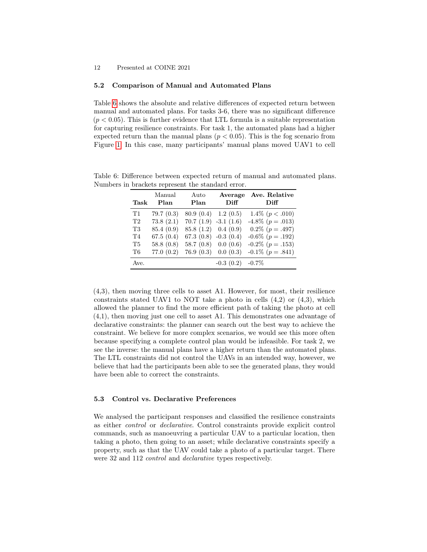#### 5.2 Comparison of Manual and Automated Plans

Table [6](#page-11-0) shows the absolute and relative differences of expected return between manual and automated plans. For tasks 3-6, there was no significant difference  $(p < 0.05)$ . This is further evidence that LTL formula is a suitable representation for capturing resilience constraints. For task 1, the automated plans had a higher expected return than the manual plans ( $p < 0.05$ ). This is the fog scenario from Figure [1.](#page-7-0) In this case, many participants' manual plans moved UAV1 to cell

| Task           | Manual<br>Plan | Auto<br>Plan              | Average<br>Diff | Ave. Relative<br>Diff |
|----------------|----------------|---------------------------|-----------------|-----------------------|
| T1             | 79.7(0.3)      | $80.9(0.4)$ 1.2 $(0.5)$   |                 | 1.4\% $(p < .010)$    |
| T <sub>2</sub> | 73.8(2.1)      | $70.7(1.9) -3.1(1.6)$     |                 | $-4.8\%$ ( $p=.013$ ) |
| T3             | 85.4 (0.9)     | 85.8 (1.2)                | 0.4(0.9)        | $0.2\%$ ( $p=.497$ )  |
| T <sub>4</sub> | 67.5(0.4)      | 67.3 $(0.8)$ -0.3 $(0.4)$ |                 | $-0.6\%$ ( $p=.192$ ) |
| <b>T5</b>      | 58.8 $(0.8)$   | 58.7(0.8)                 | 0.0(0.6)        | $-0.2\%$ ( $p=.153$ ) |
| T6             | 77.0(0.2)      | $76.9(0.3)$ 0.0 $(0.3)$   |                 | $-0.1\%$ ( $p=.841$ ) |
| Ave.           |                |                           | $-0.3(0.2)$     | $-0.7\%$              |

<span id="page-11-0"></span>Table 6: Difference between expected return of manual and automated plans. Numbers in brackets represent the standard error.

(4,3), then moving three cells to asset A1. However, for most, their resilience constraints stated UAV1 to NOT take a photo in cells  $(4,2)$  or  $(4,3)$ , which allowed the planner to find the more efficient path of taking the photo at cell (4,1), then moving just one cell to asset A1. This demonstrates one advantage of declarative constraints: the planner can search out the best way to achieve the constraint. We believe for more complex scenarios, we would see this more often because specifying a complete control plan would be infeasible. For task 2, we see the inverse: the manual plans have a higher return than the automated plans. The LTL constraints did not control the UAVs in an intended way, however, we believe that had the participants been able to see the generated plans, they would have been able to correct the constraints.

#### 5.3 Control vs. Declarative Preferences

We analysed the participant responses and classified the resilience constraints as either control or declarative. Control constraints provide explicit control commands, such as manoeuvring a particular UAV to a particular location, then taking a photo, then going to an asset; while declarative constraints specify a property, such as that the UAV could take a photo of a particular target. There were 32 and 112 *control* and *declarative* types respectively.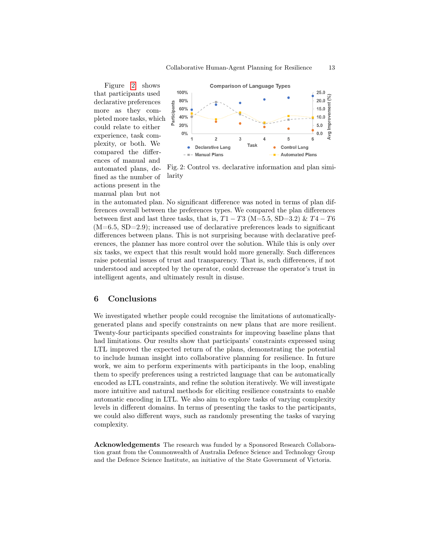Figure [2](#page-12-0) shows that participants used declarative preferences more as they completed more tasks, which could relate to either experience, task complexity, or both. We compared the differences of manual and automated plans, defined as the number of actions present in the manual plan but not

<span id="page-12-0"></span>

Fig. 2: Control vs. declarative information and plan similarity

in the automated plan. No significant difference was noted in terms of plan differences overall between the preferences types. We compared the plan differences between first and last three tasks, that is,  $T1 - T3$  (M=5.5, SD=3.2) &  $T4 - T6$  $(M=6.5, SD=2.9)$ ; increased use of declarative preferences leads to significant differences between plans. This is not surprising because with declarative preferences, the planner has more control over the solution. While this is only over six tasks, we expect that this result would hold more generally. Such differences raise potential issues of trust and transparency. That is, such differences, if not understood and accepted by the operator, could decrease the operator's trust in intelligent agents, and ultimately result in disuse.

# 6 Conclusions

We investigated whether people could recognise the limitations of automaticallygenerated plans and specify constraints on new plans that are more resilient. Twenty-four participants specified constraints for improving baseline plans that had limitations. Our results show that participants' constraints expressed using LTL improved the expected return of the plans, demonstrating the potential to include human insight into collaborative planning for resilience. In future work, we aim to perform experiments with participants in the loop, enabling them to specify preferences using a restricted language that can be automatically encoded as LTL constraints, and refine the solution iteratively. We will investigate more intuitive and natural methods for eliciting resilience constraints to enable automatic encoding in LTL. We also aim to explore tasks of varying complexity levels in different domains. In terms of presenting the tasks to the participants, we could also different ways, such as randomly presenting the tasks of varying complexity.

Acknowledgements The research was funded by a Sponsored Research Collaboration grant from the Commonwealth of Australia Defence Science and Technology Group and the Defence Science Institute, an initiative of the State Government of Victoria.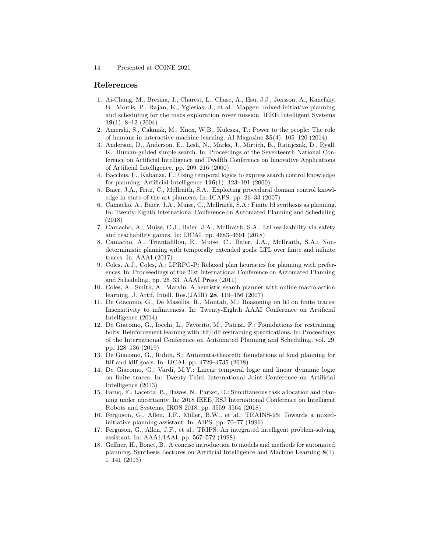## References

- <span id="page-13-3"></span>1. Ai-Chang, M., Bresina, J., Charest, L., Chase, A., Hsu, J.J., Jonsson, A., Kanefsky, B., Morris, P., Rajan, K., Yglesias, J., et al.: Mapgen: mixed-initiative planning and scheduling for the mars exploration rover mission. IEEE Intelligent Systems  $19(1), 8-12(2004)$
- <span id="page-13-0"></span>2. Amershi, S., Cakmak, M., Knox, W.B., Kulesza, T.: Power to the people: The role of humans in interactive machine learning. AI Magazine 35(4), 105–120 (2014)
- <span id="page-13-4"></span>3. Anderson, D., Anderson, E., Lesh, N., Marks, J., Mirtich, B., Ratajczak, D., Ryall, K.: Human-guided simple search. In: Proceedings of the Seventeenth National Conference on Artificial Intelligence and Twelfth Conference on Innovative Applications of Artificial Intelligence. pp. 209–216 (2000)
- <span id="page-13-7"></span>4. Bacchus, F., Kabanza, F.: Using temporal logics to express search control knowledge for planning. Artificial Intelligence  $116(1)$ , 123–191 (2000)
- <span id="page-13-9"></span>5. Baier, J.A., Fritz, C., McIlraith, S.A.: Exploiting procedural domain control knowledge in state-of-the-art planners. In: ICAPS. pp. 26–33 (2007)
- <span id="page-13-15"></span>6. Camacho, A., Baier, J.A., Muise, C., McIlraith, S.A.: Finite ltl synthesis as planning. In: Twenty-Eighth International Conference on Automated Planning and Scheduling (2018)
- <span id="page-13-16"></span>7. Camacho, A., Muise, C.J., Baier, J.A., McIlraith, S.A.: Ltl realizability via safety and reachability games. In: IJCAI. pp. 4683–4691 (2018)
- <span id="page-13-11"></span>8. Camacho, A., Triantafillou, E., Muise, C., Baier, J.A., McIlraith, S.A.: Nondeterministic planning with temporally extended goals: LTL over finite and infinite traces. In: AAAI (2017)
- <span id="page-13-10"></span>9. Coles, A.J., Coles, A.: LPRPG-P: Relaxed plan heuristics for planning with preferences. In: Proceeedings of the 21st International Conference on Automated Planning and Scheduling. pp. 26–33. AAAI Press (2011)
- <span id="page-13-8"></span>10. Coles, A., Smith, A.: Marvin: A heuristic search planner with online macro-action learning. J. Artif. Intell. Res.(JAIR) 28, 119–156 (2007)
- <span id="page-13-14"></span>11. De Giacomo, G., De Masellis, R., Montali, M.: Reasoning on ltl on finite traces: Insensitivity to infiniteness. In: Twenty-Eighth AAAI Conference on Artificial Intelligence (2014)
- <span id="page-13-5"></span>12. De Giacomo, G., Iocchi, L., Favorito, M., Patrizi, F.: Foundations for restraining bolts: Reinforcement learning with ltlf/ldlf restraining specifications. In: Proceedings of the International Conference on Automated Planning and Scheduling. vol. 29, pp. 128–136 (2019)
- <span id="page-13-17"></span>13. De Giacomo, G., Rubin, S.: Automata-theoretic foundations of fond planning for ltlf and ldlf goals. In: IJCAI. pp. 4729–4735 (2018)
- <span id="page-13-13"></span>14. De Giacomo, G., Vardi, M.Y.: Linear temporal logic and linear dynamic logic on finite traces. In: Twenty-Third International Joint Conference on Artificial Intelligence (2013)
- <span id="page-13-12"></span>15. Faruq, F., Lacerda, B., Hawes, N., Parker, D.: Simultaneous task allocation and planning under uncertainty. In: 2018 IEEE/RSJ International Conference on Intelligent Robots and Systems, IROS 2018. pp. 3559–3564 (2018)
- <span id="page-13-1"></span>16. Ferguson, G., Allen, J.F., Miller, B.W., et al.: TRAINS-95: Towards a mixedinitiative planning assistant. In: AIPS. pp. 70–77 (1996)
- <span id="page-13-2"></span>17. Ferguson, G., Allen, J.F., et al.: TRIPS: An integrated intelligent problem-solving assistant. In: AAAI/IAAI. pp. 567–572 (1998)
- <span id="page-13-6"></span>18. Geffner, H., Bonet, B.: A concise introduction to models and methods for automated planning. Synthesis Lectures on Artificial Intelligence and Machine Learning 8(1), 1–141 (2013)